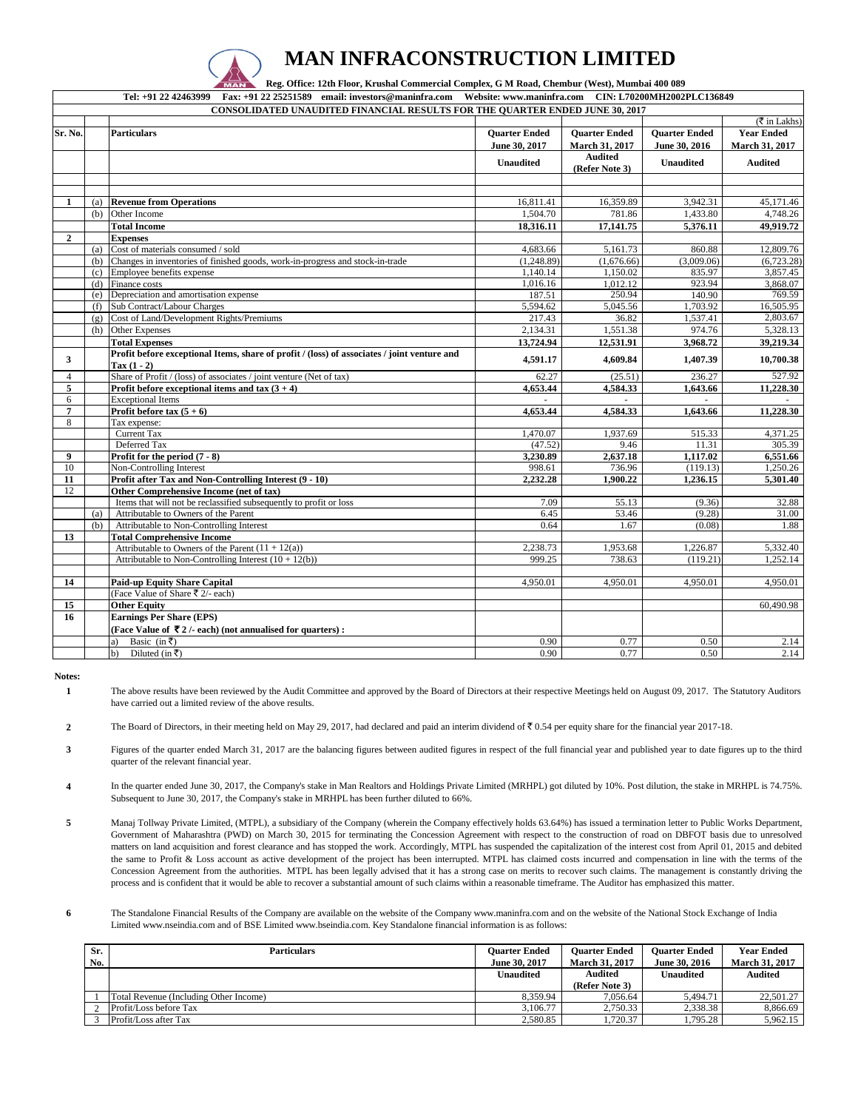

## **MAN INFRACONSTRUCTION LIMITED**

 **Reg. Office: 12th Floor, Krushal Commercial Complex, G M Road, Chembur (West), Mumbai 400 089** 

**Tel: +91 22 42463999 Fax: +91 22 25251589 email: investors@maninfra.com Website: www.maninfra.com CIN: L70200MH2002PLC136849**

|                | <b>CONSOLIDATED UNAUDITED FINANCIAL RESULTS FOR THE QUARTER ENDED JUNE 30, 2017</b> |                                                                                             |                      |                                  |                      |                                      |  |
|----------------|-------------------------------------------------------------------------------------|---------------------------------------------------------------------------------------------|----------------------|----------------------------------|----------------------|--------------------------------------|--|
|                |                                                                                     |                                                                                             |                      |                                  |                      | $(\overline{\mathfrak{F}}$ in Lakhs) |  |
| Sr. No.        |                                                                                     | <b>Particulars</b>                                                                          | <b>Ouarter Ended</b> | <b>Ouarter Ended</b>             | <b>Ouarter Ended</b> | <b>Year Ended</b>                    |  |
|                |                                                                                     |                                                                                             | June 30, 2017        | March 31, 2017                   | June 30, 2016        | March 31, 2017                       |  |
|                |                                                                                     |                                                                                             | <b>Unaudited</b>     | <b>Audited</b><br>(Refer Note 3) | <b>Unaudited</b>     | <b>Audited</b>                       |  |
|                |                                                                                     |                                                                                             |                      |                                  |                      |                                      |  |
|                |                                                                                     |                                                                                             |                      |                                  |                      |                                      |  |
| 1              | (a)                                                                                 | <b>Revenue from Operations</b>                                                              | 16,811.41            | 16,359.89                        | 3,942.31             | 45,171.46                            |  |
|                | (b)                                                                                 | Other Income                                                                                | 1,504.70             | 781.86                           | 1,433.80             | 4,748.26                             |  |
|                |                                                                                     | <b>Total Income</b>                                                                         | 18,316.11            | 17,141.75                        | 5,376.11             | 49,919.72                            |  |
| $\overline{2}$ |                                                                                     | <b>Expenses</b>                                                                             |                      |                                  |                      |                                      |  |
|                | (a)                                                                                 | Cost of materials consumed / sold                                                           | 4,683.66             | 5,161.73                         | 860.88               | 12,809.76                            |  |
|                | (h)                                                                                 | Changes in inventories of finished goods, work-in-progress and stock-in-trade               | (1,248.89)           | (1,676.66)                       | (3,009.06)           | (6,723.28)                           |  |
|                | (c)                                                                                 | Employee benefits expense                                                                   | 1.140.14             | 1,150.02                         | 835.97               | 3,857.45                             |  |
|                | (d)                                                                                 | Finance costs                                                                               | 1,016.16             | 1,012.12                         | 923.94               | 3,868.07                             |  |
|                | (e)                                                                                 | Depreciation and amortisation expense                                                       | 187.51               | 250.94                           | 140.90               | 769.59                               |  |
|                | (f)                                                                                 | Sub Contract/Labour Charges                                                                 | 5,594.62             | 5,045.56                         | 1,703.92             | 16,505.95                            |  |
|                | (g)                                                                                 | Cost of Land/Development Rights/Premiums                                                    | 217.43               | 36.82                            | 1,537.41             | 2,803.67                             |  |
|                | (h)                                                                                 | <b>Other Expenses</b>                                                                       | 2,134.31             | 1,551.38                         | 974.76               | 5,328.13                             |  |
|                |                                                                                     | <b>Total Expenses</b>                                                                       | 13,724.94            | 12,531.91                        | 3,968.72             | 39,219.34                            |  |
| 3              |                                                                                     | Profit before exceptional Items, share of profit / (loss) of associates / joint venture and | 4,591.17             | 4,609.84                         | 1,407.39             | 10,700.38                            |  |
|                |                                                                                     | $\text{Tax} (1 - 2)$                                                                        |                      |                                  |                      |                                      |  |
| $\overline{4}$ |                                                                                     | Share of Profit / (loss) of associates / joint venture (Net of tax)                         | 62.27                | (25.51)                          | 236.27               | 527.92                               |  |
| 5              |                                                                                     | Profit before exceptional items and tax $(3 + 4)$                                           | 4,653.44             | 4,584.33                         | 1,643.66             | 11,228.30                            |  |
| 6              |                                                                                     | <b>Exceptional Items</b>                                                                    |                      |                                  |                      |                                      |  |
| $\overline{7}$ |                                                                                     | Profit before tax $(5 + 6)$                                                                 | 4,653.44             | 4.584.33                         | 1,643.66             | 11,228.30                            |  |
| 8              |                                                                                     | Tax expense:                                                                                |                      |                                  |                      |                                      |  |
|                |                                                                                     | Current Tax                                                                                 | 1,470.07             | 1,937.69                         | 515.33               | 4,371.25                             |  |
|                |                                                                                     | Deferred Tax                                                                                | (47.52)              | 9.46                             | 11.31                | 305.39                               |  |
| 9              |                                                                                     | Profit for the period $(7 - 8)$                                                             | 3,230.89             | 2,637.18                         | 1,117.02             | 6,551.66                             |  |
| 10             |                                                                                     | Non-Controlling Interest                                                                    | 998.61               | 736.96                           | (119.13)             | 1,250.26                             |  |
| 11             |                                                                                     | Profit after Tax and Non-Controlling Interest (9 - 10)                                      | 2,232.28             | 1,900.22                         | 1,236.15             | 5,301.40                             |  |
| 12             |                                                                                     | Other Comprehensive Income (net of tax)                                                     |                      |                                  |                      |                                      |  |
|                |                                                                                     | Items that will not be reclassified subsequently to profit or loss                          | 7.09                 | 55.13                            | (9.36)               | 32.88                                |  |
|                | (a)                                                                                 | Attributable to Owners of the Parent                                                        | 6.45                 | 53.46                            | (9.28)               | 31.00                                |  |
|                | (b)                                                                                 | Attributable to Non-Controlling Interest                                                    | 0.64                 | 1.67                             | (0.08)               | 1.88                                 |  |
| 13             |                                                                                     | <b>Total Comprehensive Income</b>                                                           |                      |                                  |                      |                                      |  |
|                |                                                                                     | Attributable to Owners of the Parent $(11 + 12(a))$                                         | 2,238.73             | 1,953.68                         | 1,226.87             | 5,332.40                             |  |
|                |                                                                                     | Attributable to Non-Controlling Interest $(10 + 12(b))$                                     | 999.25               | 738.63                           | (119.21)             | 1,252.14                             |  |
|                |                                                                                     |                                                                                             |                      |                                  |                      |                                      |  |
| 14             |                                                                                     | <b>Paid-up Equity Share Capital</b>                                                         | 4,950.01             | 4,950.01                         | 4,950.01             | 4,950.01                             |  |
|                |                                                                                     | (Face Value of Share ₹ 2/- each)                                                            |                      |                                  |                      |                                      |  |
| 15             |                                                                                     | <b>Other Equity</b>                                                                         |                      |                                  |                      | 60,490.98                            |  |
| 16             |                                                                                     | <b>Earnings Per Share (EPS)</b>                                                             |                      |                                  |                      |                                      |  |
|                |                                                                                     | (Face Value of $\bar{z}$ 2 /- each) (not annualised for quarters):                          |                      |                                  |                      |                                      |  |
|                |                                                                                     | Basic (in $\overline{\tau}$ )<br>a)                                                         | 0.90                 | 0.77                             | 0.50                 | 2.14                                 |  |
|                |                                                                                     | Diluted (in ₹)<br>b)                                                                        | 0.90 <sub>1</sub>    | 0.77                             | 0.50                 | 2.14                                 |  |

**Notes:**

**1** The above results have been reviewed by the Audit Committee and approved by the Board of Directors at their respective Meetings held on August 09, 2017. The Statutory Auditors have carried out a limited review of the above results.

**2** The Board of Directors, in their meeting held on May 29, 2017, had declared and paid an interim dividend of  $\bar{\tau}$  0.54 per equity share for the financial year 2017-18.

**3** Figures of the quarter ended March 31, 2017 are the balancing figures between audited figures in respect of the full financial year and published year to date figures up to the third quarter of the relevant financial year.

**4** In the quarter ended June 30, 2017, the Company's stake in Man Realtors and Holdings Private Limited (MRHPL) got diluted by 10%. Post dilution, the stake in MRHPL is 74.75%. Subsequent to June 30, 2017, the Company's stake in MRHPL has been further diluted to 66%.

**5** Manaj Tollway Private Limited, (MTPL), a subsidiary of the Company (wherein the Company effectively holds 63.64%) has issued a termination letter to Public Works Department, Government of Maharashtra (PWD) on March 30, 2015 for terminating the Concession Agreement with respect to the construction of road on DBFOT basis due to unresolved matters on land acquisition and forest clearance and has stopped the work. Accordingly, MTPL has suspended the capitalization of the interest cost from April 01, 2015 and debited the same to Profit & Loss account as active development of the project has been interrupted. MTPL has claimed costs incurred and compensation in line with the terms of the Concession Agreement from the authorities. MTPL has been legally advised that it has a strong case on merits to recover such claims. The management is constantly driving the process and is confident that it would be able to recover a substantial amount of such claims within a reasonable timeframe. The Auditor has emphasized this matter.

**6** The Standalone Financial Results of the Company are available on the website of the Company www.maninfra.com and on the website of the National Stock Exchange of India Limited www.nseindia.com and of BSE Limited www.bseindia.com. Key Standalone financial information is as follows:

| Sr. | <b>Particulars</b>                     | <b>Ouarter Ended</b> | <b>Ouarter Ended</b>  | <b>Ouarter Ended</b> | <b>Year Ended</b>     |
|-----|----------------------------------------|----------------------|-----------------------|----------------------|-----------------------|
| No. |                                        | June 30, 2017        | <b>March 31, 2017</b> | June 30, 2016        | <b>March 31, 2017</b> |
|     |                                        | <b>Unaudited</b>     | Audited               | <b>Unaudited</b>     | <b>Audited</b>        |
|     |                                        |                      | (Refer Note 3)        |                      |                       |
|     | Total Revenue (Including Other Income) | 8.359.94             | 7.056.64              | 5.494.71             | 22,501.27             |
|     | Profit/Loss before Tax                 | 3.106.77             | 2.750.33              | 2.338.38             | 8,866.69              |
|     | Profit/Loss after Tax                  | 2,580.85             | .720.37               | 1,795.28             | 5,962.15              |